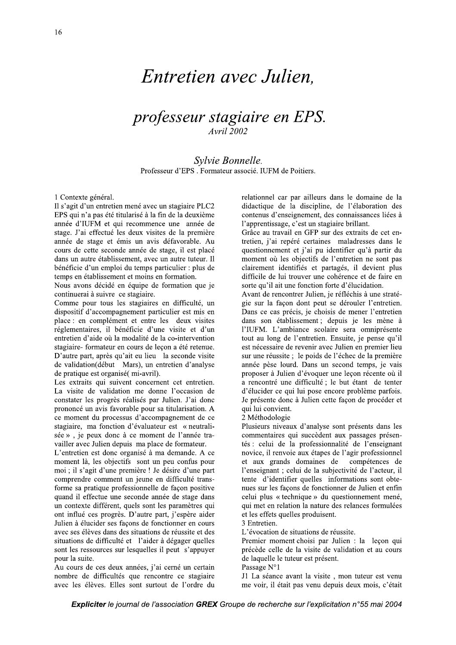# Entretien avec Julien.

### professeur stagiaire en EPS. **Avril 2002**

Sylvie Bonnelle. Professeur d'EPS. Formateur associé. IUFM de Poitiers.

1 Contexte général.

Il s'agit d'un entretien mené avec un stagiaire PLC2 EPS qui n'a pas été titularisé à la fin de la deuxième année d'IUFM et qui recommence une année de stage. J'ai effectué les deux visites de la première année de stage et émis un avis défavorable. Au cours de cette seconde année de stage, il est placé dans un autre établissement, avec un autre tuteur. Il bénéficie d'un emploi du temps particulier : plus de temps en établissement et moins en formation.

Nous avons décidé en équipe de formation que je continuerai à suivre ce stagiaire.

Comme pour tous les stagiaires en difficulté, un dispositif d'accompagnement particulier est mis en place : en complément et entre les deux visites réglementaires, il bénéficie d'une visite et d'un entretien d'aide où la modalité de la co-intervention stagiaire-formateur en cours de leçon a été retenue. D'autre part, après qu'ait eu lieu la seconde visite de validation(début Mars), un entretien d'analyse de pratique est organisé(mi-avril).

Les extraits qui suivent concernent cet entretien. La visite de validation me donne l'occasion de constater les progrès réalisés par Julien. J'ai donc prononcé un avis favorable pour sa titularisation. A ce moment du processus d'accompagnement de ce stagiaire, ma fonction d'évaluateur est « neutralisée », je peux donc à ce moment de l'année travailler avec Julien depuis ma place de formateur.

L'entretien est donc organisé à ma demande. A ce moment là, les objectifs sont un peu confus pour moi ; il s'agit d'une première ! Je désire d'une part comprendre comment un jeune en difficulté transforme sa pratique professionnelle de façon positive quand il effectue une seconde année de stage dans un contexte différent, quels sont les paramètres qui ont influé ces progrès. D'autre part, j'espère aider Julien à élucider ses façons de fonctionner en cours avec ses élèves dans des situations de réussite et des situations de difficulté et l'aider à dégager quelles sont les ressources sur lesquelles il peut s'appuyer pour la suite.

Au cours de ces deux années, j'ai cerné un certain nombre de difficultés que rencontre ce stagiaire avec les élèves. Elles sont surtout de l'ordre du relationnel car par ailleurs dans le domaine de la didactique de la discipline, de l'élaboration des contenus d'enseignement, des connaissances liées à l'apprentissage, c'est un stagiaire brillant.

Grâce au travail en GFP sur des extraits de cet entretien, j'ai repéré certaines maladresses dans le questionnement et j'ai pu identifier qu'à partir du moment où les objectifs de l'entretien ne sont pas clairement identifiés et partagés, il devient plus difficile de lui trouver une cohérence et de faire en sorte qu'il ait une fonction forte d'élucidation.

Avant de rencontrer Julien, je réfléchis à une stratégie sur la façon dont peut se dérouler l'entretien. Dans ce cas précis, je choisis de mener l'entretien dans son établissement; depuis je les mène à l'IUFM. L'ambiance scolaire sera omniprésente tout au long de l'entretien. Ensuite, je pense qu'il est nécessaire de revenir avec Julien en premier lieu sur une réussite ; le poids de l'échec de la première année pèse lourd. Dans un second temps, je vais proposer à Julien d'évoquer une leçon récente où il a rencontré une difficulté ; le but étant de tenter d'élucider ce qui lui pose encore problème parfois. Je présente donc à Julien cette façon de procéder et qui lui convient.

2 Méthodologie

Plusieurs niveaux d'analyse sont présents dans les commentaires qui succèdent aux passages présentés : celui de la professionnalité de l'enseignant novice, il renvoie aux étapes de l'agir professionnel et aux grands domaines de compétences de l'enseignant ; celui de la subjectivité de l'acteur, il tente d'identifier quelles informations sont obtenues sur les façons de fonctionner de Julien et enfin celui plus « technique » du questionnement mené, qui met en relation la nature des relances formulées et les effets quelles produisent.

3 Entretien.

L'évocation de situations de réussite.

Premier moment choisi par Julien : la leçon qui précède celle de la visite de validation et au cours de laquelle le tuteur est présent.

Passage N°1

J1 La séance avant la visite, mon tuteur est venu me voir, il était pas venu depuis deux mois, c'était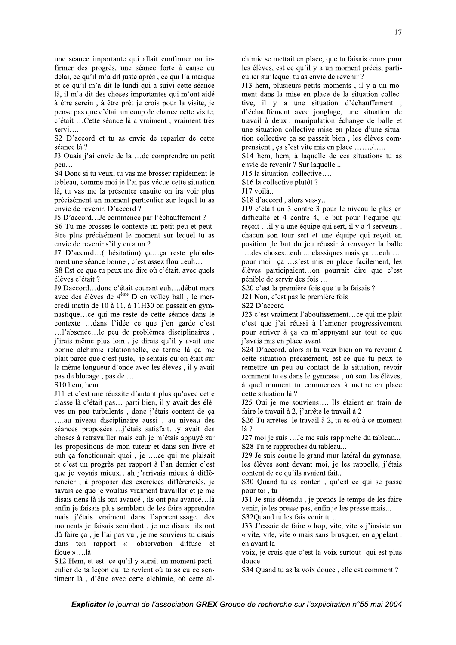une séance importante qui allait confirmer ou infirmer des progrès, une séance forte à cause du délai, ce qu'il m'a dit juste après, ce qui l'a marqué et ce qu'il m'a dit le lundi qui a suivi cette séance là, il m'a dit des choses importantes qui m'ont aidé à être serein, à être prêt je crois pour la visite, je pense pas que c'était un coup de chance cette visite, c'était ...Cette séance là a vraiment, vraiment très  $servi...$ 

S2 D'accord et tu as envie de reparler de cette séance là ?

J3 Ouais j'ai envie de la ... de comprendre un petit peu...

S4 Donc si tu veux, tu vas me brosser rapidement le tableau, comme moi je l'ai pas vécue cette situation là, tu vas me la présenter ensuite on ira voir plus précisément un moment particulier sur lequel tu as envie de revenir. D'accord?

J5 D'accord...Je commence par l'échauffement ?

S6 Tu me brosses le contexte un petit peu et peutêtre plus précisément le moment sur lequel tu as envie de revenir s'il y en a un ?

J7 D'accord...( hésitation) ça...ça reste globalement une séance bonne, c'est assez flou ..euh...

S8 Est-ce que tu peux me dire où c'était, avec quels élèves c'était ?

J9 Daccord...donc c'était courant euh....début mars avec des élèves de 4<sup>ème</sup> D en volley ball, le mercredi matin de 10 à 11, à 11H30 on passait en gymnastique...ce qui me reste de cette séance dans le contexte ...dans l'idée ce que j'en garde c'est ...!'absence...le peu de problèmes disciplinaires, j'irais même plus loin, je dirais qu'il y avait une bonne alchimie relationnelle, ce terme là ça me plait parce que c'est juste, je sentais qu'on était sur la même longueur d'onde avec les élèves, il y avait pas de blocage, pas de ...

#### S10 hem, hem

J11 et c'est une réussite d'autant plus qu'avec cette classe là c'était pas... parti bien, il y avait des élèves un peu turbulents, donc j'étais content de ça ....au niveau disciplinaire aussi, au niveau des séances proposées....j'étais satisfait...y avait des choses à retravailler mais euh je m'étais appuyé sur les propositions de mon tuteur et dans son livre et euh ça fonctionnait quoi, je ....ce qui me plaisait et c'est un progrès par rapport à l'an dernier c'est que je voyais mieux...ah j'arrivais mieux à différencier, à proposer des exercices différenciés, je savais ce que je voulais vraiment travailler et je me disais tiens là ils ont avancé, ils ont pas avancé...là enfin je faisais plus semblant de les faire apprendre mais j'étais vraiment dans l'apprentissage...des moments je faisais semblant, je me disais ils ont dû faire ça, je l'ai pas vu, je me souviens tu disais dans ton rapport « observation diffuse et floue »....là

S12 Hem, et est- ce qu'il y aurait un moment particulier de ta leçon qui te revient où tu as eu ce sentiment là, d'être avec cette alchimie, où cette al-

chimie se mettait en place, que tu faisais cours pour les élèves, est ce qu'il y a un moment précis, particulier sur lequel tu as envie de revenir ?

J13 hem, plusieurs petits moments, il y a un moment dans la mise en place de la situation collective, il y a une situation d'échauffement d'échauffement avec jonglage, une situation de travail à deux : manipulation échange de balle et une situation collective mise en place d'une situation collective ça se passait bien, les élèves comprenaient, ça s'est vite mis en place ....../.....

S14 hem, hem, à laquelle de ces situations tu as envie de revenir ? Sur laquelle ..

J15 la situation collective....

S<sub>16</sub> la collective plutôt?

J17 voilà...

S18 d'accord, alors vas-v..

J19 c'était un 3 contre 3 pour le niveau le plus en difficulté et 4 contre 4, le but pour l'équipe qui reçoit ...il y a une équipe qui sert, il y a 4 serveurs, chacun son tour sert et une équipe qui reçoit en position ,le but du jeu réussir à renvoyer la balle ....des choses...euh ... classiques mais ça ...euh .... pour moi ça ...s'est mis en place facilement, les élèves participaient...on pourrait dire que c'est pénible de servir des fois...

S20 c'est la première fois que tu la faisais ?

J21 Non, c'est pas le première fois

S22 D'accord

J23 c'est vraiment l'aboutissement...ce qui me plait c'est que j'ai réussi à l'amener progressivement pour arriver à ça en m'appuyant sur tout ce que j'avais mis en place avant

S24 D'accord, alors si tu veux bien on va revenir à cette situation précisément, est-ce que tu peux te remettre un peu au contact de la situation, revoir comment tu es dans le gymnase, où sont les élèves, à quel moment tu commences à mettre en place cette situation là ?

J25 Oui je me souviens.... Ils étaient en train de faire le travail à 2, j'arrête le travail à 2

S26 Tu arrêtes le travail à 2, tu es où à ce moment  $1a$ ?

J27 moi je suis ... Je me suis rapproché du tableau... S28 Tu te rapproches du tableau...

J29 Je suis contre le grand mur latéral du gymnase, les élèves sont devant moi, je les rappelle, j'étais content de ce qu'ils avaient fait..

S30 Quand tu es conten, qu'est ce qui se passe pour toi, tu

J31 Je suis détendu, je prends le temps de les faire venir, je les presse pas, enfin je les presse mais... S32Quand tu les fais venir tu...

J33 J'essaie de faire « hop, vite, vite » j'insiste sur « vite, vite, vite » mais sans brusquer, en appelant, en ayant la

voix, je crois que c'est la voix surtout qui est plus douce

S34 Quand tu as la voix douce, elle est comment?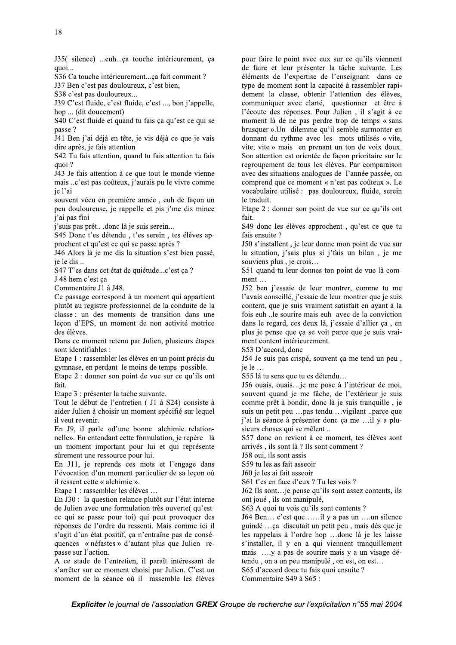S36 Ca touche intérieurement...ça fait comment ?

J37 Ben c'est pas douloureux, c'est bien,

S38 c'est pas douloureux...

J39 C'est fluide, c'est fluide, c'est ..., bon j'appelle, hop ... (dit doucement)

S40 C'est fluide et quand tu fais ça qu'est ce qui se passe?

J41 Ben j'ai déjà en tête, je vis déjà ce que je vais dire après, je fais attention

S42 Tu fais attention, quand tu fais attention tu fais quoi?

J43 Je fais attention à ce que tout le monde vienne mais ..c'est pas coûteux, j'aurais pu le vivre comme je l'ai

souvent vécu en première année, euh de facon un peu douloureuse, je rappelle et pis j'me dis mince *i'ai* pas fini

j'suis pas prêt...donc là je suis serein...

S45 Donc t'es détendu, t'es serein, tes élèves approchent et qu'est ce qui se passe après ?

J46 Alors là je me dis la situation s'est bien passé, je le dis..

S47 T'es dans cet état de quiétude...c'est ça ?

J 48 hem c'est ca

Commentaire J1 à J48.

Ce passage correspond à un moment qui appartient plutôt au registre professionnel de la conduite de la classe : un des moments de transition dans une leçon d'EPS, un moment de non activité motrice des élèves.

Dans ce moment retenu par Julien, plusieurs étapes sont identifiables :

Etape 1 : rassembler les élèves en un point précis du gymnase, en perdant le moins de temps possible.

Etape 2 : donner son point de vue sur ce qu'ils ont fait.

Etape 3 : présenter la tache suivante.

Tout le début de l'entretien (J1 à S24) consiste à aider Julien à choisir un moment spécifié sur lequel il veut revenir.

En J9, il parle «d'une bonne alchimie relationnelle». En entendant cette formulation, je repère là un moment important pour lui et qui représente sûrement une ressource pour lui.

En J11, je reprends ces mots et l'engage dans l'évocation d'un moment particulier de sa leçon où il ressent cette « alchimie ».

Etape 1 : rassembler les élèves ...

En J30 : la question relance plutôt sur l'état interne de Julien avec une formulation très ouverte( qu'estce qui se passe pour toi) qui peut provoquer des réponses de l'ordre du ressenti. Mais comme ici il s'agit d'un état positif, ça n'entraîne pas de conséquences « néfastes » d'autant plus que Julien repasse sur l'action.

A ce stade de l'entretien, il paraît intéressant de s'arrêter sur ce moment choisi par Julien. C'est un moment de la séance où il rassemble les élèves

pour faire le point avec eux sur ce qu'ils viennent de faire et leur présenter la tâche suivante. Les éléments de l'expertise de l'enseignant dans ce type de moment sont la capacité à rassembler rapidement la classe, obtenir l'attention des élèves, communiquer avec clarté, questionner et être à l'écoute des réponses. Pour Julien, il s'agit à ce moment là de ne pas perdre trop de temps « sans brusquer ». Un dilemme qu'il semble surmonter en donnant du rythme avec les mots utilisés « vite, vite, vite » mais en prenant un ton de voix doux. Son attention est orientée de façon prioritaire sur le regroupement de tous les élèves. Par comparaison avec des situations analogues de l'année passée, on comprend que ce moment « n'est pas coûteux ». Le vocabulaire utilisé : pas douloureux, fluide, serein le traduit.

Etape 2 : donner son point de vue sur ce qu'ils ont fait.

S49 donc les élèves approchent, qu'est ce que tu fais ensuite?

J50 s'installent, je leur donne mon point de vue sur la situation, j'sais plus si j'fais un bilan, je me souviens plus, je crois...

S51 quand tu leur donnes ton point de vue là comment ...

J52 ben j'essaie de leur montrer, comme tu me l'avais conseillé, j'essaie de leur montrer que je suis content, que je suis vraiment satisfait en ayant à la fois euh ..le sourire mais euh avec de la conviction dans le regard, ces deux là, j'essaie d'allier ça, en plus je pense que ça se voit parce que je suis vraiment content intérieurement.

S53 D'accord, donc

J54 Je suis pas crispé, souvent ça me tend un peu, je le ...

S55 là tu sens que tu es détendu...

156 ouais, ouais... je me pose à l'intérieur de moi, souvent quand je me fâche, de l'extérieur je suis comme prêt à bondir, donc là je suis tranquille, je suis un petit peu ...pas tendu ...vigilant ..parce que j'ai la séance à présenter donc ça me ...il y a plusieurs choses qui se mêlent...

S57 donc on revient à ce moment, tes élèves sont arrivés, ils sont là ? Ils sont comment ?

J58 oui, ils sont assis

S59 tu les as fait asseoir

J60 je les ai fait asseoir

S61 t'es en face d'eux ? Tu les vois ?

J62 Ils sont... je pense qu'ils sont assez contents, ils ont joué, ils ont manipulé,

S63 A quoi tu vois qu'ils sont contents ?

J64 Ben... c'est que......il y a pas un ....un silence guindé ...ça discutait un petit peu, mais dès que je les rappelais à l'ordre hop ...donc là je les laisse s'installer, il y en a qui viennent tranquillement mais ..., y a pas de sourire mais y a un visage détendu, on a un peu manipulé, on est, on est...

S65 d'accord donc tu fais quoi ensuite ?

Commentaire S49 à S65 :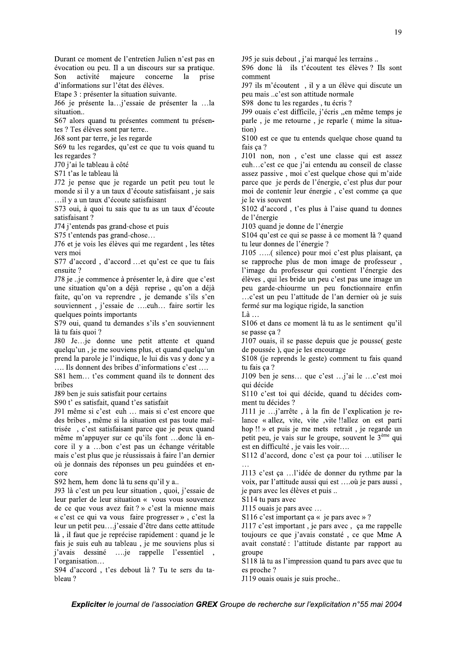évocation ou peu. Il a un discours sur sa pratique. activité majeure concerne la Son prise d'informations sur l'état des élèves. Etape 3 : présenter la situation suivante.

166 je présente la... j'essaie de présenter la ... la situation..

Durant ce moment de l'entretien Julien n'est pas en

S67 alors quand tu présentes comment tu présentes ? Tes élèves sont par terre..

J68 sont par terre, je les regarde

S69 tu les regardes, qu'est ce que tu vois quand tu les regardes ?

J70 j'ai le tableau à côté

S71 t'as le tableau là

J72 je pense que je regarde un petit peu tout le monde si il y a un taux d'écoute satisfaisant, je sais ...il y a un taux d'écoute satisfaisant

S73 oui, à quoi tu sais que tu as un taux d'écoute satisfaisant?

J74 j'entends pas grand-chose et puis

S75 t'entends pas grand-chose...

J76 et je vois les élèves qui me regardent, les têtes vers moi

S77 d'accord, d'accord ... et qu'est ce que tu fais ensuite?

J78 je ... je commence à présenter le, à dire que c'est une situation qu'on a déjà reprise, qu'on a déjà faite, qu'on va reprendre, je demande s'ils s'en souviennent, j'essaie de ....euh... faire sortir les quelques points importants

S79 oui, quand tu demandes s'ils s'en souviennent là tu fais quoi ?

J80 Je...je donne une petit attente et quand quelqu'un, je me souviens plus, et quand quelqu'un prend la parole je l'indique, le lui dis vas y donc y a .... Ils donnent des bribes d'informations c'est ....

S81 hem... t'es comment quand ils te donnent des hribes

J89 ben je suis satisfait pour certains

S90 t' es satisfait, quand t'es satisfait

J91 même si c'est euh ... mais si c'est encore que des bribes, même si la situation est pas toute maîtrisée, c'est satisfaisant parce que je peux quand même m'appuyer sur ce qu'ils font ...donc là encore il y a ...bon c'est pas un échange véritable mais c'est plus que je réussissais à faire l'an dernier où je donnais des réponses un peu guindées et encore

S92 hem, hem donc là tu sens qu'il y a...

J93 là c'est un peu leur situation, quoi, j'essaie de leur parler de leur situation « vous vous souvenez de ce que vous avez fait ? » c'est la mienne mais « c'est ce qui va vous faire progresser », c'est la leur un petit peu....j'essaie d'être dans cette attitude là, il faut que je reprécise rapidement : quand je le fais je suis euh au tableau, je me souviens plus si *i*'avais dessiné .... je rappelle l'essentiel l'organisation...

S94 d'accord, t'es debout là? Tu te sers du tableau?

J95 je suis debout, j'ai marqué les terrains..

S96 donc là ils t'écoutent tes élèves ? Ils sont comment

J97 ils m'écoutent, il y a un élève qui discute un peu mais ..c'est son attitude normale

S98 donc tu les regardes, tu écris ?

J99 ouais c'est difficile, j'écris "en même temps je parle, je me retourne, je reparle (mime la situation)

S100 est ce que tu entends quelque chose quand tu fais ça ?

J101 non, non, c'est une classe qui est assez euh...c'est ce que j'ai entendu au conseil de classe assez passive, moi c'est quelque chose qui m'aide parce que je perds de l'énergie, c'est plus dur pour moi de contenir leur énergie, c'est comme ça que ie le vis souvent

S102 d'accord, t'es plus à l'aise quand tu donnes de l'énergie

J103 quand je donne de l'énergie

S104 qu'est ce qui se passe à ce moment là ? quand tu leur donnes de l'énergie ?

J105 .....( silence) pour moi c'est plus plaisant, ça se rapproche plus de mon image de professeur, l'image du professeur qui contient l'énergie des élèves, qui les bride un peu c'est pas une image un peu garde-chiourme un peu fonctionnaire enfin ...c'est un peu l'attitude de l'an dernier où je suis fermé sur ma logique rigide, la sanction

Là ...

S106 et dans ce moment là tu as le sentiment qu'il se passe ca?

J107 ouais, il se passe depuis que je pousse( geste de poussée), que je les encourage

S108 (je reprends le geste) comment tu fais quand tu fais ça ?

J109 ben je sens... que c'est ... j'ai le ... c'est moi qui décide

S110 c'est toi qui décide, quand tu décides comment tu décides ?

J111 je ...j'arrête, à la fin de l'explication je relance « allez, vite, vite , vite !! allez on est parti hop !! » et puis je me mets retrait, je regarde un petit peu, je vais sur le groupe, souvent le 3<sup>ème</sup> qui est en difficulté, je vais les voir....

S112 d'accord, donc c'est ça pour toi ...utiliser le

J113 c'est ça ...l'idée de donner du rythme par la voix, par l'attitude aussi qui est ....où je pars aussi, je pars avec les élèves et puis ...

S114 tu pars avec

J115 ouais je pars avec ...

S116 c'est important ça « je pars avec »?

J117 c'est important, je pars avec, ça me rappelle toujours ce que j'avais constaté, ce que Mme A avait constaté : l'attitude distante par rapport au groupe

S118 là tu as l'impression quand tu pars avec que tu es proche?

J119 ouais ouais je suis proche..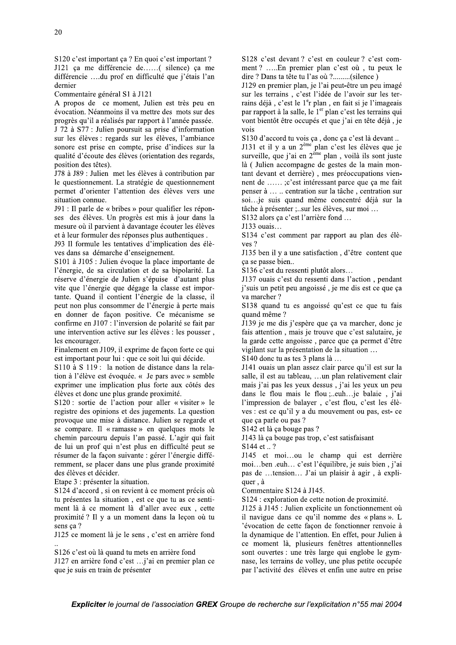$S120$  c'est important ça ? En quoi c'est important ?  $J121$  ça me differencie de......( silence) ça me differencie ....du prof en difficulte que j'etais l'an dernier

Commentaire général S1 a  $J121$ 

A propos de ce moment, Julien est tres peu en evocation. Neanmoins il va mettre des mots sur des progres qu'il a réalisés par rapport à l'année passée.

 $J/2$  a  $S/I$ : Julien poursuit sa prise d'information sur les eleves : regards sur les eleves, l'ambiance sonore est prise en compte, prise d'indices sur la qualité d'écouté des élèves (orientation des régards, position des tetes).

 $J/8$  a  $J89$ : Julien met les eleves a contribution par le questionnement. La strategie de questionnement permet d'orienter l'attention des eleves vers une situation connue.

 $J91: II$  parle de « bribes » pour qualifier les reponses des eleves. Un progres est mis a jour dans la mesure ou il parvient à davantage écouter les élèves et a leur formuler des reponses plus authentiques. D--

 $J93$  II formule les tentatives d'implication des eleves dans sa demarche d'enseignement.

S<sub>101</sub> a J105 : Julien evoque la place importante de l'energie, de sa circulation et de sa bipolarite. La reserve d'energie de Julien s'épuise d'autant plus vite que l'energie que degage la classe est importante. Quand il contient l'energie de la classe, il peut non plus consommer de l'energie a perte mais en donner de façon positive. Ce mecanisme se confirme en J10/: l'inversion de polarite se fait par une intervention active sur les eleves : les pousser, les encourager.

Finalement en J109, il exprime de façon forte ce qui est important pour lui : que ce soit lui qui decide.

 $\frac{100 \text{ a S}}{19}$ : la notion de distance dans la relation a l'eleve est evoquee. « Je pars avec » semble exprimer une implication plus forte aux cotes des eleves et donc une plus grande proximité.

 $S120$ : sortie de l'action pour aller « visiter » le registre des opinions et des jugements. La question provoque une mise à distance. Julien se regarde et se compare. Il « ramasse » en quelques mots le chemin parcouru depuis l'an passe. L'agir qui fait  $\alpha$  lui un prot qui n'est plus en difficulté peut se resumer de la façon suivante : gerer l'energie differemment, se placer dans une plus grande proximite  $\frac{1}{2}$  des eleves et decider.

Etape 3 : presenter la situation.

S124 d'accord, si on revient a ce moment precis ou tu presentes la situation, est ce que tu as ce sentiment la a ce moment la d'aller avec eux, cette proximite ? Il y a un moment dans la leçon ou tu sens ça ?

 $J125$  ce moment la je le sens, c'est en arriere fond  $\frac{1}{2}$ 

 $\frac{126}{6}$  c'est où la quand tu mets en arrière fond

 $J127$  en arriere fond c'est ... j'ai en premier plan ce que je suis en train de presenter

 $S128$  c'est devant? c'est en couleur? c'est comment? .....En premier plan c'est ou, tu peux le dire ? Dans ta tete tu l'as ou ?.........(silence )

IT29 en premier plan, je l'ai peut-etre un peu image sur les terrains, c'est l'idée de l'avoir sur les terrains déjà, c'est le 1<sup>e</sup>r plan, en fait si je l'imageais par rapport à la salle, le 1<sup>er</sup> plan c'est les terrains qui vont bientot etre occupes et que j'ai en tete dejà, je vois -

 $\frac{130 \text{ d} \text{ accord}}{24}$  tu vois ça, donc ça c'est la devant...  $\frac{1}{2}$ 

J131 et il y a un  $2^{\text{eme}}$  plan c'est les élèves que je surveille, que j'ai en  $2^{\text{eme}}$  plan, voilà ils sont juste la (Julien accompagne de gestes de la main montant devant et derrière), mes preoccupations viennent de ...... ;c'est interessant parce que ça me fait penser a ... .. centration sur la tache, centration sur soi...je suis quand meme concentre deja sur la tache a presenter ;..sur les eleves, sur moi  $\dots$ 

 $\frac{5132}{1000}$  alors ça c'est l'arriere fond ...

 $J133$  ouals...

 $\mathbf{S}$ 134 c'est comment par rapport au plan des ele $ves$  ?

 $J135$  ben il y a une satisfaction, d'être content que ça se passe bien..

 $S136$  c'est du ressenti plutot alors...

 $J13/$  ouais c'est du ressenti dans l'action, pendant f suis un petit peu angoisse, je me dis est ce que ça va marcher? 8--

 $\text{S138}$  quand tu es angoisse qu'est ce que tu fais quand meme?  $\frac{7}{10}$ 

 $J139$  je me dis j'espere que ça va marcher, donc je fais attention, mais je trouve que c'est salutaire, je la garde cette angoisse, parce que ça permet d'etre vigilant sur la presentation de la situation  $\dots$ 

 $\frac{1}{2}$ S140 donc tu as tes 3 plans la ...

J141 ouais un plan assez clair parce qu'il est sur la salle, il est au tableau, …un plan relativement clair mais j'ai pas les yeux dessus, j'ai les yeux un peu dans le flou mais le flou ;..euh... je balaie, j'ai  $\Gamma$  impression de balayer, c'est flou, c'est les eleves : est ce qu'il y a du mouvement ou pas, est- ce que ça parle ou pas ?

 $\mathbf{S}$ 142 et la ça bouge pas ?

J143 la ça bouge pas trop, c'est satisfaisant  $S144$  et ...?

J145 et moi...ou le champ qui est derriere moi...ben .euh... c'est l'equilibre, je suis bien , j'ai pas de ...tension... J'ai un plaisir à agir, à expliquer, a a i

Commentaire  $S124$  a  $J145$ .

S124 : exploration de cette notion de proximité.

Using the sense, c'est en arrière fond<br>  $\frac{1}{2}$  and  $\frac{1}{2}$  convent là je le sens, c'est en arrière fond<br>  $\frac{1}{2}$  convent là, plusieurs fenêtes attentionnelles<br>
Since c'est où là quand tu mets en arrière fond<br>  $\frac{1$  $J125$  a  $J145$  : Julien explicite un fonctionnement ou 11 navigue dans ce qu'il nomme des « plans ». L 'evocation de cette façon de fonctionner renvoie à la dynamique de l'attention. En effet, pour Julien a ce moment la, plusieurs fenetres attentionnelles sont ouvertes : une tres large qui englobe le gymhase, les terrains de volley, une plus petite occupee par l'activite des eleves et enfin une autre en prise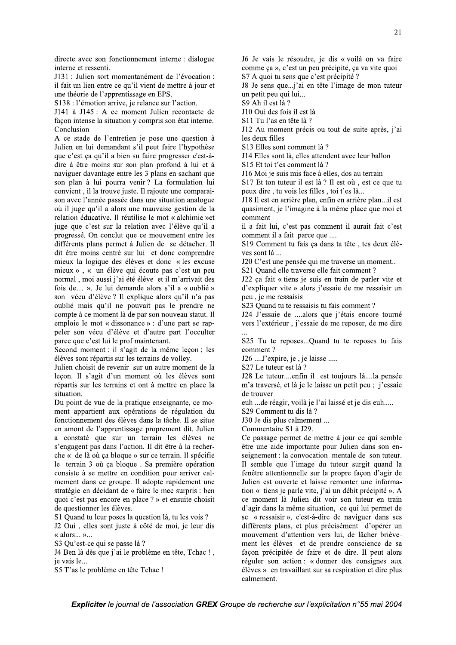S29 Comment tu dis là ?

Ce passage permet de mettre à jour ce qui semble être une aide importante pour Julien dans son enseignement : la convocation mentale de son tuteur. Il semble que l'image du tuteur surgit quand la fenêtre attentionnelle sur la propre façon d'agir de Julien est ouverte et laisse remonter une information « tiens je parle vite, j'ai un débit précipité ». A ce moment là Julien dit voir son tuteur en train d'agir dans la même situation, ce qui lui permet de se « ressaisir », c'est-à-dire de naviguer dans ses différents plans, et plus précisément d'opérer un mouvement d'attention vers lui, de lâcher brièvement les élèves et de prendre conscience de sa façon précipitée de faire et de dire. Il peut alors réguler son action : « donner des consignes aux élèves » en travaillant sur sa respiration et dire plus calmement.

directe avec son fonctionnement interne : dialogue interne et ressenti.

J131 : Julien sort momentanément de l'évocation : il fait un lien entre ce qu'il vient de mettre à jour et une théorie de l'apprentissage en EPS.

S138 : l'émotion arrive, je relance sur l'action.

J141 à J145 : A ce moment Julien recontacte de façon intense la situation y compris son état interne. Conclusion

A ce stade de l'entretien je pose une question à Julien en lui demandant s'il peut faire l'hypothèse que c'est ça qu'il a bien su faire progresser c'est-àdire à être moins sur son plan profond à lui et à naviguer davantage entre les 3 plans en sachant que son plan à lui pourra venir? La formulation lui convient, il la trouve juste. Il rajoute une comparaison avec l'année passée dans une situation analogue où il juge qu'il a alors une mauvaise gestion de la relation éducative. Il réutilise le mot « alchimie »et juge que c'est sur la relation avec l'élève qu'il a progressé. On conclut que ce mouvement entre les différents plans permet à Julien de se détacher. Il dit être moins centré sur lui et donc comprendre mieux la logique des élèves et donc « les excuse mieux », « un élève qui écoute pas c'est un peu normal, moi aussi j'ai été élève et il m'arrivait des fois de... ». Je lui demande alors s'il a « oublié » son vécu d'élève ? Il explique alors qu'il n'a pas oublié mais qu'il ne pouvait pas le prendre ne compte à ce moment là de par son nouveau statut. Il emploie le mot « dissonance » : d'une part se rappeler son vécu d'élève et d'autre part l'occulter parce que c'est lui le prof maintenant.

Second moment : il s'agit de la même leçon ; les élèves sont répartis sur les terrains de volley.

Julien choisit de revenir sur un autre moment de la leçon. Il s'agit d'un moment où les élèves sont répartis sur les terrains et ont à mettre en place la situation.

Du point de vue de la pratique enseignante, ce moment appartient aux opérations de régulation du fonctionnement des élèves dans la tâche. Il se situe en amont de l'apprentissage proprement dit. Julien a constaté que sur un terrain les élèves ne s'engagent pas dans l'action. Il dit être à la recherche « de là où ça bloque » sur ce terrain. Il spécifie le terrain 3 où ça bloque. Sa première opération consiste à se mettre en condition pour arriver calmement dans ce groupe. Il adopte rapidement une stratégie en décidant de « faire le mec surpris : ben quoi c'est pas encore en place ? » et ensuite choisit de questionner les élèves.

S1 Quand tu leur poses la question là, tu les vois ?

J2 Oui, elles sont juste à côté de moi, je leur dis « alors... »...

S3 Qu'est-ce qui se passe là ?

J4 Ben là dès que j'ai le problème en tête, Tchac!, ie vais le...

S5 T'as le problème en tête Tchac !

J6 Je vais le résoudre, je dis « voilà on va faire comme ça », c'est un peu précipité, ça va vite quoi S7 A quoi tu sens que c'est précipité ?

J8 Je sens que...j'ai en tête l'image de mon tuteur un petit peu qui lui...

S9 Ah il est là ?

J10 Oui des fois il est là

S11 Tu l'as en tête là ?

J12 Au moment précis ou tout de suite après, j'ai les deux filles

S13 Elles sont comment là ?

J14 Elles sont là, elles attendent avec leur ballon

S<sub>15</sub> Et toi t'es comment là ?

J16 Moi je suis mis face à elles, dos au terrain

S17 Et ton tuteur il est là ? Il est où, est ce que tu peux dire, tu vois les filles, toi t'es là...

J18 Il est en arrière plan, enfin en arrière plan...il est quasiment, je l'imagine à la même place que moi et comment

il a fait lui, c'est pas comment il aurait fait c'est comment il a fait parce que ....

S19 Comment tu fais ça dans ta tête, tes deux élèves sont là ...

J20 C'est une pensée qui me traverse un moment...

S21 Quand elle traverse elle fait comment ?

J22 ça fait « tiens je suis en train de parler vite et d'expliquer vite » alors j'essaie de me ressaisir un peu, je me ressaisis

S23 Ouand tu te ressaisis tu fais comment?

J24 J'essaie de ....alors que j'étais encore tourné vers l'extérieur, j'essaie de me reposer, de me dire

S25 Tu te reposes...Quand tu te reposes tu fais comment?

J26 ....J'expire, je, je laisse .....

S27 Le tuteur est là ?

J28 Le tuteur....enfin il est toujours là....la pensée m'a traversé, et là je le laisse un petit peu ; j'essaie de trouver

euh ... de réagir, voilà je l'ai laissé et je dis euh.....

J30 Je dis plus calmement ...

Commentaire S1 à J29.

Expliciter le journal de l'association GREX Groupe de recherche sur l'explicitation n°55 mai 2004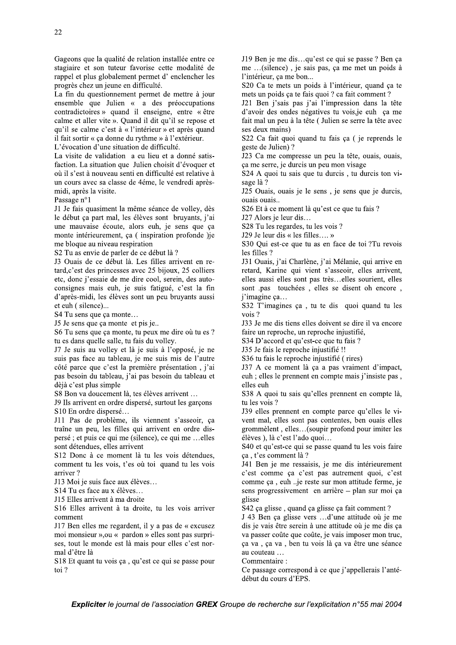Gageons que la qualité de relation installée entre ce stagiaire et son tuteur favorise cette modalité de rappel et plus globalement permet d'enclencher les progrès chez un jeune en difficulté.

La fin du questionnement permet de mettre à jour ensemble que Julien « a des préoccupations contradictoires » quand il enseigne, entre « être calme et aller vite ». Quand il dit qu'il se repose et qu'il se calme c'est à « l'intérieur » et après quand il fait sortir « ça donne du rythme » à l'extérieur.

L'évocation d'une situation de difficulté.

La visite de validation a eu lieu et a donné satisfaction. La situation que Julien choisit d'évoquer et où il s'est à nouveau senti en difficulté est relative à un cours avec sa classe de 4éme, le vendredi aprèsmidi, après la visite.

Passage n°1

J1 Je fais quasiment la même séance de volley, dès le début ca part mal, les élèves sont bruyants, j'ai une mauvaise écoute, alors euh, je sens que ça monte intérieurement, ça (inspiration profonde) je me bloque au niveau respiration

S2 Tu as envie de parler de ce début là ?

J3 Ouais de ce début là. Les filles arrivent en retard, c'est des princesses avec 25 bijoux, 25 colliers etc, donc j'essaie de me dire cool, serein, des autoconsignes mais euh, je suis fatigué, c'est la fin d'après-midi, les élèves sont un peu bruyants aussi et euh (silence)...

S4 Tu sens que ça monte...

J5 Je sens que ça monte et pis je...

S6 Tu sens que ça monte, tu peux me dire où tu es ? tu es dans quelle salle, tu fais du volley.

J7 Je suis au volley et là je suis à l'opposé, je ne suis pas face au tableau, je me suis mis de l'autre côté parce que c'est la première présentation, j'ai pas besoin du tableau, j'ai pas besoin du tableau et dèjà c'est plus simple

S8 Bon va doucement là, tes élèves arrivent ...

J9 Ils arrivent en ordre dispersé, surtout les garçons S10 En ordre dispersé...

J11 Pas de problème, ils viennent s'asseoir, ça traîne un peu, les filles qui arrivent en ordre dispersé ; et puis ce qui me (silence), ce qui me ...elles sont détendues, elles arrivent

S12 Donc à ce moment là tu les vois détendues, comment tu les vois, t'es où toi quand tu les vois arriver?

J13 Moi je suis face aux élèves...

S14 Tu es face au x élèves...

J15 Elles arrivent à ma droite

S16 Elles arrivent à ta droite, tu les vois arriver comment

J17 Ben elles me regardent, il y a pas de « excusez moi monsieur », ou « pardon » elles sont pas surprises, tout le monde est là mais pour elles c'est normal d'être là

S18 Et quant tu vois ça, qu'est ce qui se passe pour toi?

J19 Ben je me dis...qu'est ce qui se passe ? Ben ça me ... (silence), je sais pas, ça me met un poids à l'intérieur, ça me bon...

S20 Ca te mets un poids à l'intérieur, quand ça te mets un poids ça te fais quoi ? ca fait comment ?

J21 Ben j'sais pas j'ai l'impression dans la tête d'avoir des ondes négatives tu vois, je euh ca me fait mal un peu à la tête (Julien se serre la tête avec ses deux mains)

S22 Ca fait quoi quand tu fais ça (je reprends le geste de Julien)?

J23 Ca me compresse un peu la tête, ouais, ouais, ca me serre, je durcis un peu mon visage

S24 A quoi tu sais que tu durcis, tu durcis ton visage là ?

J25 Ouais, ouais je le sens, je sens que je durcis, ouais ouais..

S26 Et à ce moment là qu'est ce que tu fais ?

J27 Alors je leur dis...

S28 Tu les regardes, tu les vois ?

J29 Je leur dis « les filles.... »

S30 Qui est-ce que tu as en face de toi ?Tu revois les filles ?

J31 Ouais, j'ai Charlène, j'ai Mélanie, qui arrive en retard, Karine qui vient s'asseoir, elles arrivent, elles aussi elles sont pas très...elles sourient, elles sont .pas touchées, elles se disent oh encore, j'imagine ça...

S32 T'imagines ça, tu te dis quoi quand tu les vois?

J33 Je me dis tiens elles doivent se dire il va encore faire un reproche, un reproche injustifié,

S34 D'accord et qu'est-ce que tu fais ?

J35 Je fais le reproche injustifié !!

S36 tu fais le reproche injustifié (rires)

J37 A ce moment là ça a pas vraiment d'impact, euh ; elles le prennent en compte mais j'insiste pas, elles euh

S38 A quoi tu sais qu'elles prennent en compte là, tu les vois ?

J39 elles prennent en compte parce qu'elles le vivent mal, elles sont pas contentes, ben ouais elles grommèlent, elles...(soupir profond pour imiter les élèves), là c'est l'ado quoi...

S40 et qu'est-ce qui se passe quand tu les vois faire ca, t'es comment là?

J41 Ben je me ressaisis, je me dis intérieurement c'est comme ça c'est pas autrement quoi, c'est comme ça, euh ..je reste sur mon attitude ferme, je sens progressivement en arrière – plan sur moi ça glisse

S42 ça glisse, quand ça glisse ça fait comment?

J 43 Ben ça glisse vers ...d'une attitude où je me dis je vais être serein à une attitude où je me dis ça va passer coûte que coûte, je vais imposer mon truc, ça va, ça va, ben tu vois là ça va être une séance au couteau ...

Commentaire:

Ce passage correspond à ce que j'appellerais l'antédébut du cours d'EPS.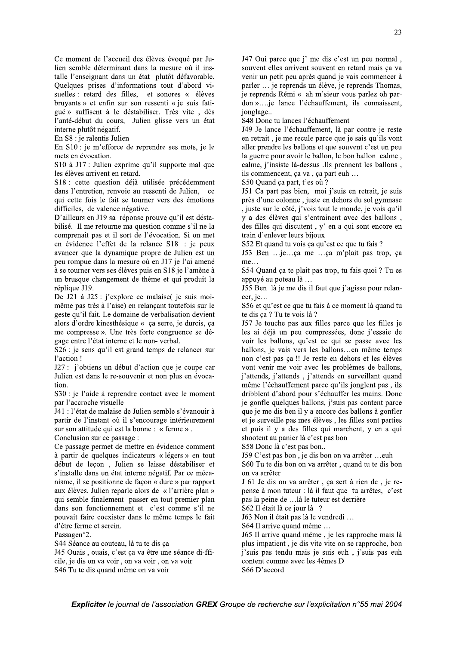Ce moment de l'accueil des élèves évoqué par Julien semble déterminant dans la mesure où il installe l'enseignant dans un état plutôt défavorable. Quelques prises d'informations tout d'abord visuelles : retard des filles, et sonores « élèves bruyants » et enfin sur son ressenti « je suis fatigué » suffisent à le déstabiliser. Très vite, dès l'anté-début du cours, Julien glisse vers un état interne plutôt négatif.

En S8 : je ralentis Julien

En S10 : je m'efforce de reprendre ses mots, je le mets en évocation.

S10 à J17 : Julien exprime qu'il supporte mal que les élèves arrivent en retard.

S18 : cette question déjà utilisée précédemment dans l'entretien, renvoie au ressenti de Julien, ce qui cette fois le fait se tourner vers des émotions difficiles, de valence négative.

D'ailleurs en J19 sa réponse prouve qu'il est déstabilisé. Il me retourne ma question comme s'il ne la comprenait pas et il sort de l'évocation. Si on met en évidence l'effet de la relance S18 : je peux avancer que la dynamique propre de Julien est un peu rompue dans la mesure où en J17 je l'ai amené à se tourner vers ses élèves puis en S18 je l'amène à un brusque changement de thème et qui produit la réplique J19.

De J21 à J25 : j'explore ce malaise( je suis moimême pas très à l'aise) en relançant toutefois sur le geste qu'il fait. Le domaine de verbalisation devient alors d'ordre kinesthésique « ça serre, je durcis, ça me compresse ». Une très forte congruence se dégage entre l'état interne et le non-verbal.

S26 : je sens qu'il est grand temps de relancer sur l'action!

J27 : j'obtiens un début d'action que je coupe car Julien est dans le re-souvenir et non plus en évocation

S30 : je l'aide à reprendre contact avec le moment par l'accroche visuelle

J41 : l'état de malaise de Julien semble s'évanouir à partir de l'instant où il s'encourage intérieurement sur son attitude qui est la bonne : « ferme ».

Conclusion sur ce passage :

Ce passage permet de mettre en évidence comment à partir de quelques indicateurs « légers » en tout début de leçon, Julien se laisse déstabiliser et s'installe dans un état interne négatif. Par ce mécanisme, il se positionne de façon « dure » par rapport aux élèves. Julien reparle alors de « l'arrière plan » qui semble finalement passer en tout premier plan dans son fonctionnement et c'est comme s'il ne pouvait faire coexister dans le même temps le fait d'être ferme et serein.

Passagen°2.

S44 Séance au couteau, là tu te dis ça

J45 Ouais, ouais, c'est ça va être une séance di-fficile, je dis on va voir, on va voir, on va voir S46 Tu te dis quand même on va voir

J47 Oui parce que j' me dis c'est un peu normal, souvent elles arrivent souvent en retard mais ça va venir un petit peu après quand je vais commencer à parler ... je reprends un élève, je reprends Thomas, je reprends Rémi « ah m'sieur vous parlez oh pardon ».... je lance l'échauffement, ils connaissent, jonglage..

S48 Donc tu lances l'échauffement

J49 Je lance l'échauffement, là par contre je reste en retrait, je me recule parce que je sais qu'ils vont aller prendre les ballons et que souvent c'est un peu la guerre pour avoir le ballon, le bon ballon calme, calme, j'insiste là-dessus .Ils prennent les ballons, ils commencent, ça va, ça part euh ...

S50 Quand ça part, t'es où ?

J51 Ca part pas bien, moi j'suis en retrait, je suis près d'une colonne, juste en dehors du sol gymnase , juste sur le côté, j'vois tout le monde, je vois qu'il y a des élèves qui s'entrainent avec des ballons, des filles qui discutent, y' en a qui sont encore en train d'enlever leurs bijoux

S52 Et quand tu vois ça qu'est ce que tu fais ?

J53 Ben ...je...ça me ...ça m'plait pas trop, ça  $me...$ 

S54 Quand ça te plait pas trop, tu fais quoi ? Tu es appuyé au poteau là ...

J55 Ben là je me dis il faut que j'agisse pour relancer, je...

S56 et qu'est ce que tu fais à ce moment là quand tu te dis ça ? Tu te vois là ?

J57 Je touche pas aux filles parce que les filles je les ai déjà un peu compressées, donc j'essaie de voir les ballons, qu'est ce qui se passe avec les ballons, je vais vers les ballons...en même temps non c'est pas ça !! Je reste en dehors et les élèves vont venir me voir avec les problèmes de ballons, j'attends, j'attends, j'attends en surveillant quand même l'échauffement parce qu'ils jonglent pas, ils dribblent d'abord pour s'échauffer les mains. Donc je gonfle quelques ballons, j'suis pas content parce que je me dis ben il y a encore des ballons à gonfler et je surveille pas mes élèves, les filles sont parties et puis il y a des filles qui marchent, y en a qui shootent au panier là c'est pas bon

S58 Donc là c'est pas bon..

J59 C'est pas bon, je dis bon on va arrêter ...euh

S60 Tu te dis bon on va arrêter, quand tu te dis bon on va arrêter

J 61 Je dis on va arrêter, ça sert à rien de, je repense à mon tuteur : là il faut que tu arrêtes, c'est pas la peine de ... là le tuteur est derrière

S62 Il était là ce jour là ?

J63 Non il était pas là le vendredi...

S64 Il arrive quand même ...

J65 Il arrive quand même, je les rapproche mais là plus impatient, je dis vite vite on se rapproche, bon i'suis pas tendu mais je suis euh, j'suis pas euh content comme avec les 4èmes D S66 D'accord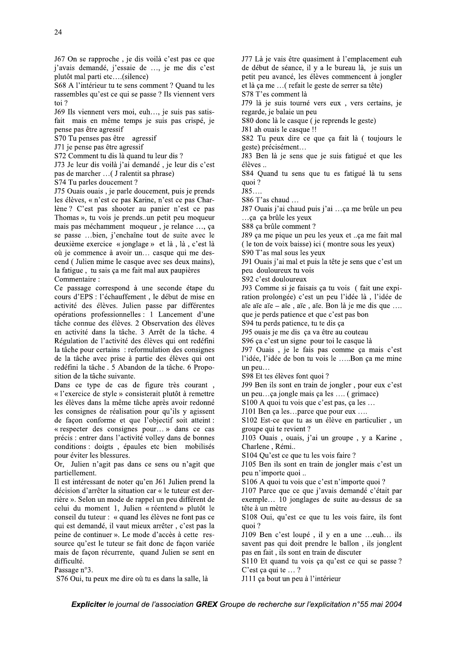$16/$  On se rapproche, je dis voila c'est pas ce que  $j$ 'avais demande,  $j$ 'essaie de ..., je me dis c'est plutot mal parti etc....(silence)

 $568$  A l'interieur tu te sens comment ? Quand tu les rassembles qu'est ce qui se passe ? Ils viennent vers  $\frac{1}{2}$ 

J69 Ils viennent vers moi, eun..., je suis pas satisfait mais en mème temps je suis pas crispé, je pense pas etre agressit

 $S/O$  1 u penses pas etre agress it

J/1 je pense pas etre agressit

 $S/2$  Comment tu dis la quand tu leur dis ?  $\mathcal{L}_{\mathcal{L}}$ 

 $J/3$  Je leur dis voila j'ai demande, je leur dis c'est

pas de marcher ...( J ralentit sa phrase) S/4 Tu parles doucement ?

J/5 Ouais ouais, je parle doucement, puis je prends les élèves, « n'est ce pas Karine, n'est ce pas Charlene? C'est pas shooter au panier n'est ce pas I homas », tu vois je prends un petit peu moqueur mais pas mechamment moqueur, je relance ..., ça se passe ...bien, j'enchaine tout de suite avec le deuxieme exercice « jonglage » et la, la, c'est la ou je commence a avoir un... casque qui me descend (Julien mime le casque avec ses deux mains), la fatigue, tu sais ça me fait mal aux paupieres Commentaire :

 $\ddot{\phantom{0}}$ Le passage correspond a une seconde etape du cours d'EPS : l'echauffement, le debut de mise en activité des élèves. Julien passe par différentes operations professionnelles : 1 Lancement d'une tache connue des eleves. 2 Observation des eleves en activite dans la tache.  $\beta$  Arret de la tache. 4 Regulation de l'activite des eleves qui ont redefini la tache pour certains: reformulation des consignes de la tache avec prise a partie des eleves qui ont redefini la tache. 5 Abandon de la tache. 6 Proposition de la tache suivante.<br>-

Dans ce type de cas de figure tres courant, « l'exercice de style » consisterait plutot à remettre les eleves dans la meme tache apres avoir redonne les consignes de realisation pour qu'ils y agissent de façon conforme et que l'objectif soit atteint : « respecter des consignes pour... » dans ce cas precis : entrer dans l'activite volley dans de bonnes conditions : doigts, épaules etc bien mobilisées pour eviter les blessures.

Or, Julien n'agit pas dans ce sens ou n'agit que partiellement.

peine de continuer ». Le mode d'accès à cette res-<br>
source qu'est le tuteur se fait donc de façon variée<br>
mais de sent pas qui doit prendre le ballon, ils jonglent<br>
mais de façon récurrente, quand Julien se sent en<br>
diffi Il est interessant de noter qu'en J61 Julien prend la decision d'arreter la situation car « le tuteur est derrière ». Selon un mode de rappel un peu different de celui du moment 1, Julien « reentend » plutot le conseil du tuteur : « quand les eleves ne font pas ce qui est demande, il vaut mieux arreter, c'est pas la peine de continuer ». Le mode d'acces a cette ressource qu'est le tuteur se fait donc de façon variee mais de façon recurrente, quand Julien se sent en difficulté. -

Passage  $n<sup>3</sup>$ .

S/6 Oui, tu peux me dire où tu es dans la salle, la

 $J/I$  La je vais etre quasiment a l'emplacement eun de debut de seance, il y a le bureau la, je suis un petit peu avance, les eleves commencent a jongler et la ça me ... (refait le geste de serrer sa tete)

 $S/8$  T es comment la

 $J/9$  la je suis tourne vers eux, vers certains, je regarde, je balaie un peu

S80 donc la le casque ( je reprends le geste)

J81 ah ouais le casque !!

S82 Iu peux dire ce que ça fait la Ctoujours le geste) precisement...

J83 Ben la je sens que je suis fatigue et que les élèves...  $\mathbf{E}(\mathbf{r})$ 

 $S84$  Quand tu sens que tu es fatigue la tu sens  $q$ uoi ?

 $J85...$ 

 $S86$  T as chaud  $\dots$ 

 $J87$  Ouars  $J$  at chaud purs  $J$  at  $\ldots$  ca me brule un peu ...ça ça brule les yeux -

 $S88$  ça brûle comment ?  $T_{\rm eff}$ 

I89 ça me pique un peu les yeux et ..ça me fait mal  $($  le ton de voix baisse) ici  $($  montre sous les yeux)

S90 T as mal sous les yeux -

J91 Ouais j'ai mal et puis la tete je sens que c'est un peu douloureux tu vois

 $S92$  c'est douloureux

 $J93$  Comme si je faisais ça tu vois (fait une expiration prolongee) c'est un peu l'idee la, l'idee de ale ale  $-$ ale  $\theta$ , ale  $\theta$ , ale. Bon la je me dis que ... que je perds patience et que c'est pas bon

 $S<sup>94</sup>$  tu perds patience, tu te dis ça

 $J<sup>9</sup>$  ouais je me dis ça va etre au couteau -

 $S96$  ça c'est un signe pour toi le casque la

- $J9/$  Ouais, je le fais pas comme ça mais c'est  $\Gamma$ idee,  $\Gamma$ idee de bon tu vois le .....Bon ça me mine un peu $\dots$ 

 $S98$  Et tes eleves font quoi ?

J99 Ben ils sont en train de jongler, pour eux c'est un peu...ça jongle mais ça les .... ( grimace)

 $\text{S100 A}$  quoi tu vois que c'est pas, ça les ...

 $J101$  Ben ça les...parce que pour eux ....

 $S102$  Est-ce que tu as un eleve en particulier, un groupe qui te revient ?

 $J103$  Ouais, ouais,  $J$  at un groupe,  $y$  a Karine, Charlene, Remi..

 $5104$  Qu'est ce que tu les vois faire?

 $J105$  Ben ils sont en train de jongler mais c'est un peu n'importe quoi ..

 $S106$  A quoi tu vois que c'est n'importe quoi ?  $\frac{V}{\epsilon}$ 

 $J10/$  Parce que ce que j'avais demande c'etait par  $\alpha$  exemple... 10 jonglages de suite au-dessus de sa tete a un metre

 $S108$  Oui, qu'est ce que tu les vois faire, ils font quoi ?

 $J109$  Ben c'est loupe, il y en a une ... eun... ils savent pas qui doit prendre le ballon, ils jonglent pas en fait, ils sont en train de discuter

 $S110$  Et quand tu vois ça qu'est ce qui se passe? C'est ça qui te ... ?  $\frac{1}{\epsilon}$ 

JIII ça bout un peu à l'interieur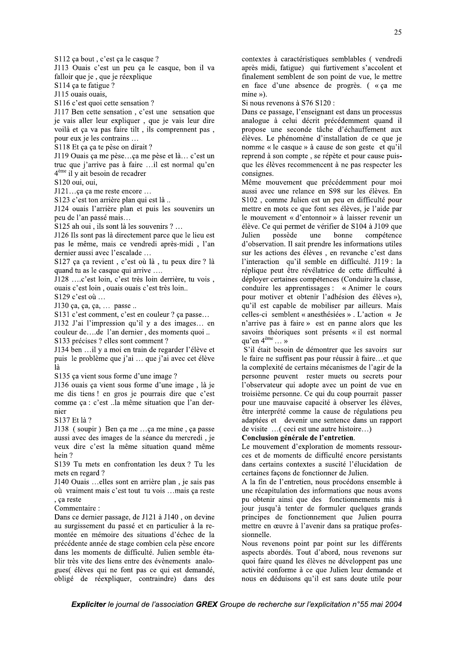Expliciter le journal de l'association GREX Groupe de recherche sur l'explicitation n°55 mai 2004

#### S112 ça bout, c'est ça le casque ?

J113 Ouais c'est un peu ça le casque, bon il va falloir que je, que je réexplique

S<sub>114</sub> ca te fatigue ?

J115 ouais ouais,

S116 c'est quoi cette sensation ?

J117 Ben cette sensation, c'est une sensation que je vais aller leur expliquer, que je vais leur dire voilà et ça va pas faire tilt, ils comprennent pas, pour eux je les contrains ...

S118 Et ça ça te pèse on dirait ?

J119 Ouais ça me pèse...ça me pèse et là... c'est un truc que j'arrive pas à faire ...il est normal qu'en  $4<sup>ème</sup>$  il y ait besoin de recadrer

S120 oui. oui.

J121...ca ca me reste encore ...

S123 c'est ton arrière plan qui est là...

J124 ouais l'arrière plan et puis les souvenirs un peu de l'an passé mais...

S125 ah oui, ils sont là les souvenirs ?...

J126 Ils sont pas là directement parce que le lieu est pas le même, mais ce vendredi après-midi, l'an dernier aussi avec l'escalade ...

S127 ça ça revient, c'est où là, tu peux dire ? là quand tu as le casque qui arrive ....

J128 ....c'est loin, c'est très loin derrière, tu vois, ouais c'est loin, ouais ouais c'est très loin..

S129 c'est où ...

J130 ça, ça, ça, ... passe ..

S131 c'est comment, c'est en couleur ? ça passe...

J132 J'ai l'impression qu'il y a des images... en couleur de....de l'an dernier, des moments quoi .. S133 précises ? elles sont comment ?

J134 ben ...il y a moi en train de regarder l'élève et puis le problème que j'ai ... que j'ai avec cet élève là

S135 ca vient sous forme d'une image?

J136 ouais ca vient sous forme d'une image. là je me dis tiens ! en gros je pourrais dire que c'est comme ça : c'est ..la même situation que l'an dernier

S137 Et là ?

J138 (soupir) Ben ça me ...ça me mine, ça passe aussi avec des images de la séance du mercredi, je veux dire c'est la même situation quand même hein?

S139 Tu mets en confrontation les deux ? Tu les mets en regard ?

J140 Ouais ...elles sont en arrière plan, je sais pas où vraiment mais c'est tout tu vois ...mais ça reste , ça reste

Commentaire:

Dans ce dernier passage, de J121 à J140, on devine au surgissement du passé et en particulier à la remontée en mémoire des situations d'échec de la précédente année de stage combien cela pèse encore dans les moments de difficulté. Julien semble établir très vite des liens entre des évènements analogues(élèves qui ne font pas ce qui est demandé, obligé de réexpliquer, contraindre) dans des

contextes à caractéristiques semblables (vendredi après midi, fatigue) qui furtivement s'accolent et finalement semblent de son point de vue, le mettre en face d'une absence de progrès. (« ça me  $mine \rightarrow$ ).

Si nous revenons à S76 S120 :

Dans ce passage, l'enseignant est dans un processus analogue à celui décrit précédemment quand il propose une seconde tâche d'échauffement aux élèves. Le phénomène d'installation de ce que je nomme « le casque » à cause de son geste et qu'il reprend à son compte, se répète et pour cause puisque les élèves recommencent à ne pas respecter les consignes.

Même mouvement que précédemment pour moi aussi avec une relance en S98 sur les élèves. En S102, comme Julien est un peu en difficulté pour mettre en mots ce que font ses élèves, je l'aide par le mouvement « d'entonnoir » à laisser revenir un élève. Ce qui permet de vérifier de S104 à J109 que possède Julien une bonne compétence d'observation. Il sait prendre les informations utiles sur les actions des élèves, en revanche c'est dans l'interaction qu'il semble en difficulté. J119 : la réplique peut être révélatrice de cette difficulté à déployer certaines compétences (Conduire la classe, conduire les apprentissages : « Animer le cours pour motiver et obtenir l'adhésion des élèves »), qu'il est capable de mobiliser par ailleurs. Mais celles-ci semblent « anesthésiées » . L'action « Je n'arrive pas à faire » est en panne alors que les savoirs théoriques sont présents « il est normal  $au'$ en 4<sup>ème</sup> ... »

S'il était besoin de démontrer que les savoirs sur le faire ne suffisent pas pour réussir à faire...et que la complexité de certains mécanismes de l'agir de la personne peuvent rester muets ou secrets pour l'observateur qui adopte avec un point de vue en troisième personne. Ce qui du coup pourrait passer pour une mauvaise capacité à observer les élèves, être interprété comme la cause de régulations peu adaptées et devenir une sentence dans un rapport de visite ...( ceci est une autre histoire...)

#### Conclusion générale de l'entretien.

Le mouvement d'exploration de moments ressources et de moments de difficulté encore persistants dans certains contextes a suscité l'élucidation de certaines façons de fonctionner de Julien.

A la fin de l'entretien, nous procédons ensemble à une récapitulation des informations que nous avons pu obtenir ainsi que des fonctionnements mis à jour jusqu'à tenter de formuler quelques grands principes de fonctionnement que Julien pourra mettre en œuvre à l'avenir dans sa pratique professionnelle.

Nous revenons point par point sur les différents aspects abordés. Tout d'abord, nous revenons sur quoi faire quand les élèves ne développent pas une activité conforme à ce que Julien leur demande et nous en déduisons qu'il est sans doute utile pour